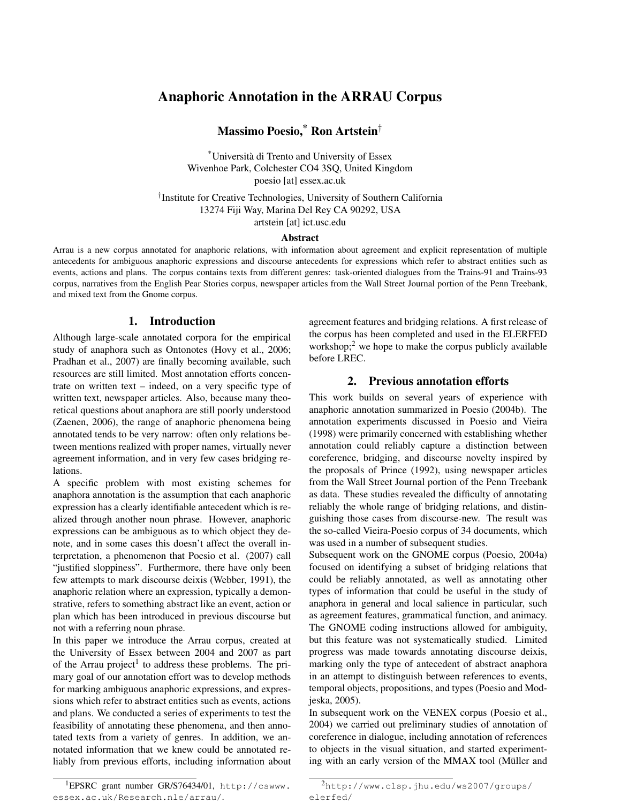# Anaphoric Annotation in the ARRAU Corpus

Massimo Poesio,\* Ron Artstein*†*

\*Università di Trento and University of Essex Wivenhoe Park, Colchester CO4 3SQ, United Kingdom poesio [at] essex.ac.uk

*†*Institute for Creative Technologies, University of Southern California 13274 Fiji Way, Marina Del Rey CA 90292, USA artstein [at] ict.usc.edu

#### Abstract

Arrau is a new corpus annotated for anaphoric relations, with information about agreement and explicit representation of multiple antecedents for ambiguous anaphoric expressions and discourse antecedents for expressions which refer to abstract entities such as events, actions and plans. The corpus contains texts from different genres: task-oriented dialogues from the Trains-91 and Trains-93 corpus, narratives from the English Pear Stories corpus, newspaper articles from the Wall Street Journal portion of the Penn Treebank, and mixed text from the Gnome corpus.

## 1. Introduction

Although large-scale annotated corpora for the empirical study of anaphora such as Ontonotes (Hovy et al., 2006; Pradhan et al., 2007) are finally becoming available, such resources are still limited. Most annotation efforts concentrate on written text – indeed, on a very specific type of written text, newspaper articles. Also, because many theoretical questions about anaphora are still poorly understood (Zaenen, 2006), the range of anaphoric phenomena being annotated tends to be very narrow: often only relations between mentions realized with proper names, virtually never agreement information, and in very few cases bridging relations.

A specific problem with most existing schemes for anaphora annotation is the assumption that each anaphoric expression has a clearly identifiable antecedent which is realized through another noun phrase. However, anaphoric expressions can be ambiguous as to which object they denote, and in some cases this doesn't affect the overall interpretation, a phenomenon that Poesio et al. (2007) call "justified sloppiness". Furthermore, there have only been few attempts to mark discourse deixis (Webber, 1991), the anaphoric relation where an expression, typically a demonstrative, refers to something abstract like an event, action or plan which has been introduced in previous discourse but not with a referring noun phrase.

In this paper we introduce the Arrau corpus, created at the University of Essex between 2004 and 2007 as part of the Arrau project<sup>1</sup> to address these problems. The primary goal of our annotation effort was to develop methods for marking ambiguous anaphoric expressions, and expressions which refer to abstract entities such as events, actions and plans. We conducted a series of experiments to test the feasibility of annotating these phenomena, and then annotated texts from a variety of genres. In addition, we annotated information that we knew could be annotated reliably from previous efforts, including information about

1EPSRC grant number GR/S76434/01, http://cswww. essex.ac.uk/Research.nle/arrau/.

agreement features and bridging relations. A first release of the corpus has been completed and used in the ELERFED workshop; $2$  we hope to make the corpus publicly available before LREC.

## 2. Previous annotation efforts

This work builds on several years of experience with anaphoric annotation summarized in Poesio (2004b). The annotation experiments discussed in Poesio and Vieira (1998) were primarily concerned with establishing whether annotation could reliably capture a distinction between coreference, bridging, and discourse novelty inspired by the proposals of Prince (1992), using newspaper articles from the Wall Street Journal portion of the Penn Treebank as data. These studies revealed the difficulty of annotating reliably the whole range of bridging relations, and distinguishing those cases from discourse-new. The result was the so-called Vieira-Poesio corpus of 34 documents, which was used in a number of subsequent studies.

Subsequent work on the GNOME corpus (Poesio, 2004a) focused on identifying a subset of bridging relations that could be reliably annotated, as well as annotating other types of information that could be useful in the study of anaphora in general and local salience in particular, such as agreement features, grammatical function, and animacy. The GNOME coding instructions allowed for ambiguity, but this feature was not systematically studied. Limited progress was made towards annotating discourse deixis, marking only the type of antecedent of abstract anaphora in an attempt to distinguish between references to events, temporal objects, propositions, and types (Poesio and Modjeska, 2005).

In subsequent work on the VENEX corpus (Poesio et al., 2004) we carried out preliminary studies of annotation of coreference in dialogue, including annotation of references to objects in the visual situation, and started experimenting with an early version of the MMAX tool (Müller and

<sup>2</sup>http://www.clsp.jhu.edu/ws2007/groups/ elerfed/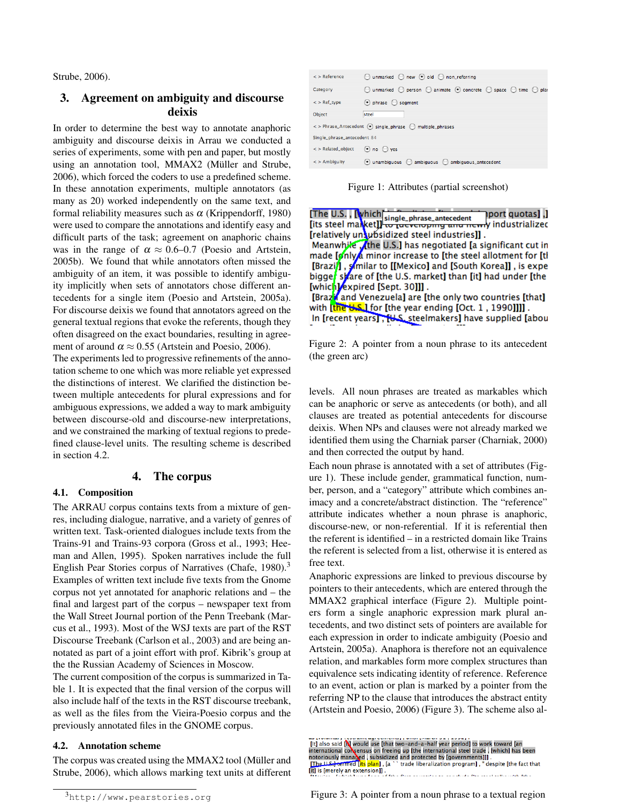Strube, 2006).

## 3. Agreement on ambiguity and discourse deixis

In order to determine the best way to annotate anaphoric ambiguity and discourse deixis in Arrau we conducted a series of experiments, some with pen and paper, but mostly using an annotation tool, MMAX2 (Müller and Strube, 2006), which forced the coders to use a predefined scheme. In these annotation experiments, multiple annotators (as many as 20) worked independently on the same text, and formal reliability measures such as  $\alpha$  (Krippendorff, 1980) were used to compare the annotations and identify easy and difficult parts of the task; agreement on anaphoric chains was in the range of  $\alpha \approx 0.6{\text -}0.7$  (Poesio and Artstein, 2005b). We found that while annotators often missed the ambiguity of an item, it was possible to identify ambiguity implicitly when sets of annotators chose different antecedents for a single item (Poesio and Artstein, 2005a). For discourse deixis we found that annotators agreed on the general textual regions that evoke the referents, though they often disagreed on the exact boundaries, resulting in agreement of around  $\alpha \approx 0.55$  (Artstein and Poesio, 2006).

The experiments led to progressive refinements of the annotation scheme to one which was more reliable yet expressed the distinctions of interest. We clarified the distinction between multiple antecedents for plural expressions and for ambiguous expressions, we added a way to mark ambiguity between discourse-old and discourse-new interpretations, and we constrained the marking of textual regions to predefined clause-level units. The resulting scheme is described in section 4.2.

## 4. The corpus

#### 4.1. Composition

The ARRAU corpus contains texts from a mixture of genres, including dialogue, narrative, and a variety of genres of written text. Task-oriented dialogues include texts from the Trains-91 and Trains-93 corpora (Gross et al., 1993; Heeman and Allen, 1995). Spoken narratives include the full English Pear Stories corpus of Narratives (Chafe, 1980).<sup>3</sup> Examples of written text include five texts from the Gnome corpus not yet annotated for anaphoric relations and – the final and largest part of the corpus – newspaper text from the Wall Street Journal portion of the Penn Treebank (Marcus et al., 1993). Most of the WSJ texts are part of the RST Discourse Treebank (Carlson et al., 2003) and are being annotated as part of a joint effort with prof. Kibrik's group at the the Russian Academy of Sciences in Moscow.

The current composition of the corpus is summarized in Table 1. It is expected that the final version of the corpus will also include half of the texts in the RST discourse treebank, as well as the files from the Vieira-Poesio corpus and the previously annotated files in the GNOME corpus.

#### 4.2. Annotation scheme

The corpus was created using the MMAX2 tool (Müller and Strube, 2006), which allows marking text units at different

| $\leq$ > Reference                                     | $\bigcirc$ unmarked $\bigcirc$ new $\bigcirc$ old $\bigcirc$ non_referring                                                    |  |  |  |  |  |  |
|--------------------------------------------------------|-------------------------------------------------------------------------------------------------------------------------------|--|--|--|--|--|--|
| Category                                               | $\bigcirc$ unmarked $\bigcirc$ person $\bigcirc$ animate $\bigcirc$ concrete $\bigcirc$ space $\bigcirc$ time $\bigcirc$ plan |  |  |  |  |  |  |
| $\leq$ > Ref_type                                      | $\odot$ phrase $\odot$ segment                                                                                                |  |  |  |  |  |  |
| Object                                                 | steel                                                                                                                         |  |  |  |  |  |  |
| <>Phrase_Antecedent . single_phrase . multiple_phrases |                                                                                                                               |  |  |  |  |  |  |
| Single_phrase_antecedent 84                            |                                                                                                                               |  |  |  |  |  |  |
| <>Related_object (a) no (c) yes                        |                                                                                                                               |  |  |  |  |  |  |
| $\leq$ > Ambiguity                                     | ambiquous<br>· unambiquous<br>ambiguous_antecedent<br>$\left( \begin{array}{c} 1 \end{array} \right)$                         |  |  |  |  |  |  |

Figure 1: Attributes (partial screenshot)

| [The U.S. , [which] single_phrase_attecedent ___________________________________<br>[its steel market]] single_phrase_antecedent ___________________________________ |
|----------------------------------------------------------------------------------------------------------------------------------------------------------------------|
|                                                                                                                                                                      |
| [relatively untubsidized steel industries]] .                                                                                                                        |
| Meanwhile <i>A</i> the U.S.] has negotiated [a significant cut in                                                                                                    |
| made [only a minor increase to [the steel allotment for [tl                                                                                                          |
| [Brazi], similar to [[Mexico] and [South Korea]], is expe                                                                                                            |
| bigge <mark>,</mark> skare of [the U.S. market] than [it] had under [the                                                                                             |
| [which]/expired [Sept. 30]]] .                                                                                                                                       |
| [Brazi and Venezuela] are [the only two countries [that]                                                                                                             |
| with [the <del>U.S.</del> ] for [the year ending [Oct. 1 , 1990]]]] .                                                                                                |
| In [recent years], [U.S. steelmakers] have supplied [abou                                                                                                            |

Figure 2: A pointer from a noun phrase to its antecedent (the green arc)

levels. All noun phrases are treated as markables which can be anaphoric or serve as antecedents (or both), and all clauses are treated as potential antecedents for discourse deixis. When NPs and clauses were not already marked we identified them using the Charniak parser (Charniak, 2000) and then corrected the output by hand.

Each noun phrase is annotated with a set of attributes (Figure 1). These include gender, grammatical function, number, person, and a "category" attribute which combines animacy and a concrete/abstract distinction. The "reference" attribute indicates whether a noun phrase is anaphoric, discourse-new, or non-referential. If it is referential then the referent is identified – in a restricted domain like Trains the referent is selected from a list, otherwise it is entered as free text.

Anaphoric expressions are linked to previous discourse by pointers to their antecedents, which are entered through the MMAX2 graphical interface (Figure 2). Multiple pointers form a single anaphoric expression mark plural antecedents, and two distinct sets of pointers are available for each expression in order to indicate ambiguity (Poesio and Artstein, 2005a). Anaphora is therefore not an equivalence relation, and markables form more complex structures than equivalence sets indicating identity of reference. Reference to an event, action or plan is marked by a pointer from the referring NP to the clause that introduces the abstract entity (Artstein and Poesio, 2006) (Figure 3). The scheme also al-



Figure 3: A pointer from a noun phrase to a textual region

<sup>3</sup>http://www.pearstories.org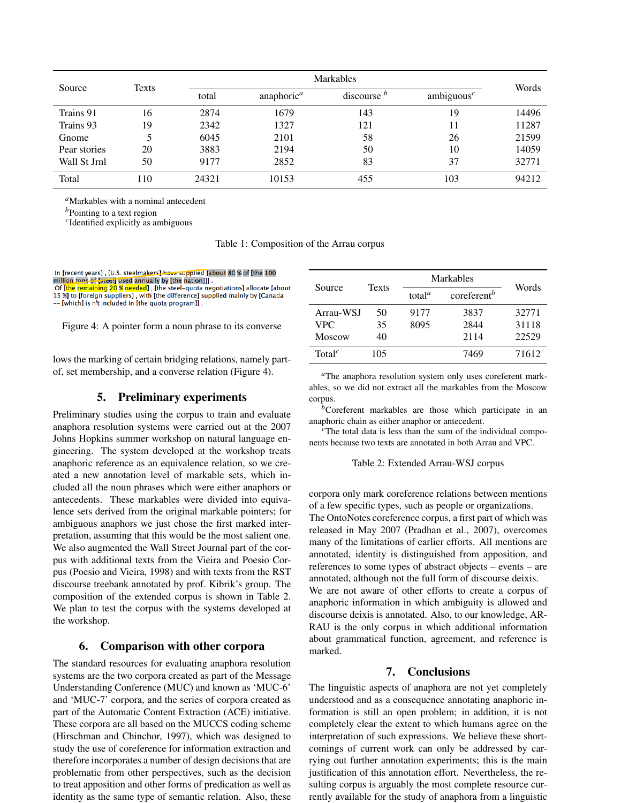| Source       | Texts |       | <b>Markables</b>       |               |               |       |
|--------------|-------|-------|------------------------|---------------|---------------|-------|
|              |       | total | anaphoric <sup>a</sup> | discourse $b$ | ambiguous $c$ | Words |
| Trains 91    | 16    | 2874  | 1679                   | 143           | 19            | 14496 |
| Trains 93    | 19    | 2342  | 1327                   | 121           | 11            | 11287 |
| Gnome        | 5     | 6045  | 2101                   | 58            | 26            | 21599 |
| Pear stories | 20    | 3883  | 2194                   | 50            | 10            | 14059 |
| Wall St Jrnl | 50    | 9177  | 2852                   | 83            | 37            | 32771 |
| Total        | 110   | 24321 | 10153                  | 455           | 103           | 94212 |

*<sup>a</sup>*Markables with a nominal antecedent

*<sup>b</sup>*Pointing to a text region

*<sup>c</sup>*Identified explicitly as ambiguous

Table 1: Composition of the Arrau corpus

| In [recent years], [U.S. steelmakers] have supplied [about 80 % of [the 100     |
|---------------------------------------------------------------------------------|
| million tons of [steel] used annually by [the nation]]].                        |
| Of Ithe remaining 20 % needed]. [the steel-guota negotiations] allocate [about  |
| 15 %] to [foreign suppliers], with [the difference] supplied mainly by [Canada] |

-- [which] is n't included in [the quota program]].

Figure 4: A pointer form a noun phrase to its converse

lows the marking of certain bridging relations, namely partof, set membership, and a converse relation (Figure 4).

## 5. Preliminary experiments

Preliminary studies using the corpus to train and evaluate anaphora resolution systems were carried out at the 2007 Johns Hopkins summer workshop on natural language engineering. The system developed at the workshop treats anaphoric reference as an equivalence relation, so we created a new annotation level of markable sets, which included all the noun phrases which were either anaphors or antecedents. These markables were divided into equivalence sets derived from the original markable pointers; for ambiguous anaphors we just chose the first marked interpretation, assuming that this would be the most salient one. We also augmented the Wall Street Journal part of the corpus with additional texts from the Vieira and Poesio Corpus (Poesio and Vieira, 1998) and with texts from the RST discourse treebank annotated by prof. Kibrik's group. The composition of the extended corpus is shown in Table 2. We plan to test the corpus with the systems developed at the workshop.

## 6. Comparison with other corpora

The standard resources for evaluating anaphora resolution systems are the two corpora created as part of the Message Understanding Conference (MUC) and known as 'MUC-6' and 'MUC-7' corpora, and the series of corpora created as part of the Automatic Content Extraction (ACE) initiative. These corpora are all based on the MUCCS coding scheme (Hirschman and Chinchor, 1997), which was designed to study the use of coreference for information extraction and therefore incorporates a number of design decisions that are problematic from other perspectives, such as the decision to treat apposition and other forms of predication as well as identity as the same type of semantic relation. Also, these

|                    |              | Markables                       |                                  |       |
|--------------------|--------------|---------------------------------|----------------------------------|-------|
| Source             | <b>Texts</b> | total <sup><math>a</math></sup> | $\alpha$ coreferent <sup>b</sup> | Words |
| Arrau-WSJ          | 50           | 9177                            | 3837                             | 32771 |
| <b>VPC</b>         | 35           | 8095                            | 2844                             | 31118 |
| <b>Moscow</b>      | 40           |                                 | 2114                             | 22529 |
| Total <sup>c</sup> | 105          |                                 | 7469                             | 71612 |

*<sup>a</sup>*The anaphora resolution system only uses coreferent markables, so we did not extract all the markables from the Moscow corpus.

*<sup>b</sup>*Coreferent markables are those which participate in an

anaphoric chain as either anaphor or antecedent. *<sup>c</sup>*The total data is less than the sum of the individual components because two texts are annotated in both Arrau and VPC.

#### Table 2: Extended Arrau-WSJ corpus

corpora only mark coreference relations between mentions of a few specific types, such as people or organizations.

The OntoNotes coreference corpus, a first part of which was released in May 2007 (Pradhan et al., 2007), overcomes many of the limitations of earlier efforts. All mentions are annotated, identity is distinguished from apposition, and references to some types of abstract objects – events – are annotated, although not the full form of discourse deixis. We are not aware of other efforts to create a corpus of anaphoric information in which ambiguity is allowed and discourse deixis is annotated. Also, to our knowledge, AR-RAU is the only corpus in which additional information about grammatical function, agreement, and reference is marked.

## 7. Conclusions

The linguistic aspects of anaphora are not yet completely understood and as a consequence annotating anaphoric information is still an open problem; in addition, it is not completely clear the extent to which humans agree on the interpretation of such expressions. We believe these shortcomings of current work can only be addressed by carrying out further annotation experiments; this is the main justification of this annotation effort. Nevertheless, the resulting corpus is arguably the most complete resource currently available for the study of anaphora from a linguistic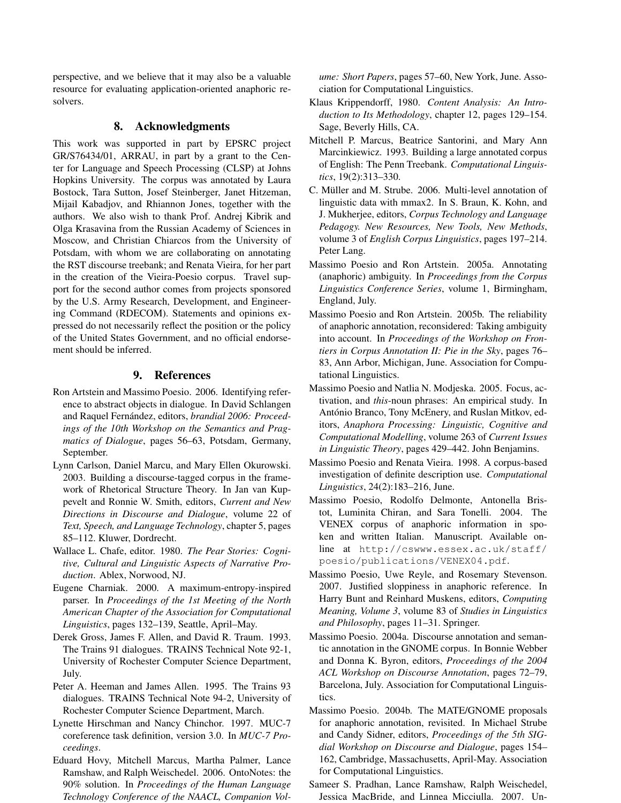perspective, and we believe that it may also be a valuable resource for evaluating application-oriented anaphoric resolvers.

## 8. Acknowledgments

This work was supported in part by EPSRC project GR/S76434/01, ARRAU, in part by a grant to the Center for Language and Speech Processing (CLSP) at Johns Hopkins University. The corpus was annotated by Laura Bostock, Tara Sutton, Josef Steinberger, Janet Hitzeman, Mijail Kabadjov, and Rhiannon Jones, together with the authors. We also wish to thank Prof. Andrej Kibrik and Olga Krasavina from the Russian Academy of Sciences in Moscow, and Christian Chiarcos from the University of Potsdam, with whom we are collaborating on annotating the RST discourse treebank; and Renata Vieira, for her part in the creation of the Vieira-Poesio corpus. Travel support for the second author comes from projects sponsored by the U.S. Army Research, Development, and Engineering Command (RDECOM). Statements and opinions expressed do not necessarily reflect the position or the policy of the United States Government, and no official endorsement should be inferred.

## 9. References

- Ron Artstein and Massimo Poesio. 2006. Identifying reference to abstract objects in dialogue. In David Schlangen and Raquel Fernández, editors, *brandial 2006: Proceedings of the 10th Workshop on the Semantics and Pragmatics of Dialogue*, pages 56–63, Potsdam, Germany, September.
- Lynn Carlson, Daniel Marcu, and Mary Ellen Okurowski. 2003. Building a discourse-tagged corpus in the framework of Rhetorical Structure Theory. In Jan van Kuppevelt and Ronnie W. Smith, editors, *Current and New Directions in Discourse and Dialogue*, volume 22 of *Text, Speech, and Language Technology*, chapter 5, pages 85–112. Kluwer, Dordrecht.
- Wallace L. Chafe, editor. 1980. *The Pear Stories: Cognitive, Cultural and Linguistic Aspects of Narrative Production*. Ablex, Norwood, NJ.
- Eugene Charniak. 2000. A maximum-entropy-inspired parser. In *Proceedings of the 1st Meeting of the North American Chapter of the Association for Computational Linguistics*, pages 132–139, Seattle, April–May.
- Derek Gross, James F. Allen, and David R. Traum. 1993. The Trains 91 dialogues. TRAINS Technical Note 92-1, University of Rochester Computer Science Department, July.
- Peter A. Heeman and James Allen. 1995. The Trains 93 dialogues. TRAINS Technical Note 94-2, University of Rochester Computer Science Department, March.
- Lynette Hirschman and Nancy Chinchor. 1997. MUC-7 coreference task definition, version 3.0. In *MUC-7 Proceedings*.
- Eduard Hovy, Mitchell Marcus, Martha Palmer, Lance Ramshaw, and Ralph Weischedel. 2006. OntoNotes: the 90% solution. In *Proceedings of the Human Language Technology Conference of the NAACL, Companion Vol-*

*ume: Short Papers*, pages 57–60, New York, June. Association for Computational Linguistics.

- Klaus Krippendorff, 1980. *Content Analysis: An Introduction to Its Methodology*, chapter 12, pages 129–154. Sage, Beverly Hills, CA.
- Mitchell P. Marcus, Beatrice Santorini, and Mary Ann Marcinkiewicz. 1993. Building a large annotated corpus of English: The Penn Treebank. *Computational Linguistics*, 19(2):313–330.
- C. Müller and M. Strube. 2006. Multi-level annotation of linguistic data with mmax2. In S. Braun, K. Kohn, and J. Mukherjee, editors, *Corpus Technology and Language Pedagogy. New Resources, New Tools, New Methods*, volume 3 of *English Corpus Linguistics*, pages 197–214. Peter Lang.
- Massimo Poesio and Ron Artstein. 2005a. Annotating (anaphoric) ambiguity. In *Proceedings from the Corpus Linguistics Conference Series*, volume 1, Birmingham, England, July.
- Massimo Poesio and Ron Artstein. 2005b. The reliability of anaphoric annotation, reconsidered: Taking ambiguity into account. In *Proceedings of the Workshop on Frontiers in Corpus Annotation II: Pie in the Sky*, pages 76– 83, Ann Arbor, Michigan, June. Association for Computational Linguistics.
- Massimo Poesio and Natlia N. Modjeska. 2005. Focus, activation, and *this*-noun phrases: An empirical study. In António Branco, Tony McEnery, and Ruslan Mitkov, editors, *Anaphora Processing: Linguistic, Cognitive and Computational Modelling*, volume 263 of *Current Issues in Linguistic Theory*, pages 429–442. John Benjamins.
- Massimo Poesio and Renata Vieira. 1998. A corpus-based investigation of definite description use. *Computational Linguistics*, 24(2):183–216, June.
- Massimo Poesio, Rodolfo Delmonte, Antonella Bristot, Luminita Chiran, and Sara Tonelli. 2004. The VENEX corpus of anaphoric information in spoken and written Italian. Manuscript. Available online at http://cswww.essex.ac.uk/staff/ poesio/publications/VENEX04.pdf.
- Massimo Poesio, Uwe Reyle, and Rosemary Stevenson. 2007. Justified sloppiness in anaphoric reference. In Harry Bunt and Reinhard Muskens, editors, *Computing Meaning, Volume 3*, volume 83 of *Studies in Linguistics and Philosophy*, pages 11–31. Springer.
- Massimo Poesio. 2004a. Discourse annotation and semantic annotation in the GNOME corpus. In Bonnie Webber and Donna K. Byron, editors, *Proceedings of the 2004 ACL Workshop on Discourse Annotation*, pages 72–79, Barcelona, July. Association for Computational Linguistics.
- Massimo Poesio. 2004b. The MATE/GNOME proposals for anaphoric annotation, revisited. In Michael Strube and Candy Sidner, editors, *Proceedings of the 5th SIGdial Workshop on Discourse and Dialogue*, pages 154– 162, Cambridge, Massachusetts, April-May. Association for Computational Linguistics.
- Sameer S. Pradhan, Lance Ramshaw, Ralph Weischedel, Jessica MacBride, and Linnea Micciulla. 2007. Un-